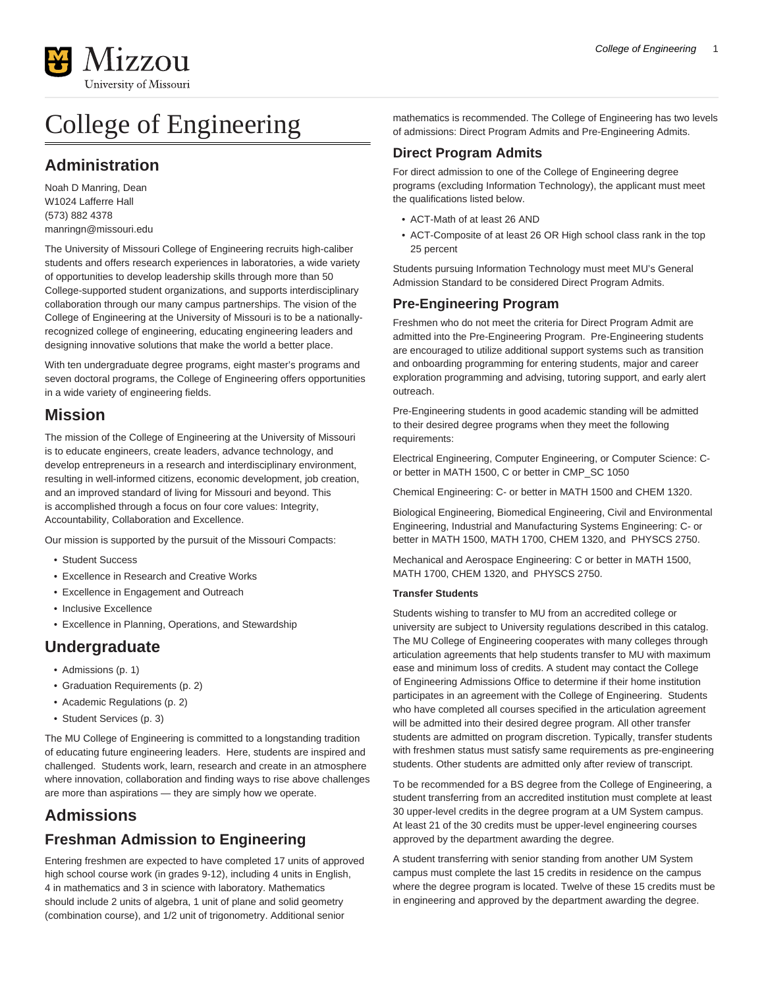

# College of Engineering

## **Administration**

Noah D Manring, Dean W1024 Lafferre Hall (573) 882 4378 [manringn@missouri.edu](mailto:manringn@missouri.edu)

The University of Missouri College of Engineering recruits high-caliber students and offers research experiences in laboratories, a wide variety of opportunities to develop leadership skills through more than 50 College-supported student organizations, and supports interdisciplinary collaboration through our many campus partnerships. The vision of the College of Engineering at the University of Missouri is to be a nationallyrecognized college of engineering, educating engineering leaders and designing innovative solutions that make the world a better place.

With ten undergraduate degree programs, eight master's programs and seven doctoral programs, the College of Engineering offers opportunities in a wide variety of engineering fields.

#### **Mission**

The mission of the College of Engineering at the University of Missouri is to educate engineers, create leaders, advance technology, and develop entrepreneurs in a research and interdisciplinary environment, resulting in well-informed citizens, economic development, job creation, and an improved standard of living for Missouri and beyond. This is accomplished through a focus on four core values: Integrity, Accountability, Collaboration and Excellence.

Our mission is supported by the pursuit of the Missouri Compacts:

- Student Success
- Excellence in Research and Creative Works
- Excellence in Engagement and Outreach
- Inclusive Excellence
- Excellence in Planning, Operations, and Stewardship

## **Undergraduate**

- [Admissions](#page-0-0) ([p. 1](#page-0-0))
- [Graduation Requirements \(p. 2\)](#page-1-0)
- [Academic Regulations \(p. 2\)](#page-1-1)
- [Student Services](#page-2-0) [\(p. 3\)](#page-2-0)

The MU College of Engineering is committed to a longstanding tradition of educating future engineering leaders. Here, students are inspired and challenged. Students work, learn, research and create in an atmosphere where innovation, collaboration and finding ways to rise above challenges are more than aspirations — they are simply how we operate.

## <span id="page-0-0"></span>**Admissions**

#### **Freshman Admission to Engineering**

Entering freshmen are expected to have completed 17 units of approved high school course work (in grades 9-12), including 4 units in English, 4 in mathematics and 3 in science with laboratory. Mathematics should include 2 units of algebra, 1 unit of plane and solid geometry (combination course), and 1/2 unit of trigonometry. Additional senior

mathematics is recommended. The College of Engineering has two levels of admissions: Direct Program Admits and Pre-Engineering Admits.

#### **Direct Program Admits**

For direct admission to one of the College of Engineering degree programs (excluding Information Technology), the applicant must meet the qualifications listed below.

- ACT-Math of at least 26 AND
- ACT-Composite of at least 26 OR High school class rank in the top 25 percent

Students pursuing Information Technology must meet MU's General Admission Standard to be considered Direct Program Admits.

#### **Pre-Engineering Program**

Freshmen who do not meet the criteria for Direct Program Admit are admitted into the Pre-Engineering Program. Pre-Engineering students are encouraged to utilize additional support systems such as transition and onboarding programming for entering students, major and career exploration programming and advising, tutoring support, and early alert outreach.

Pre-Engineering students in good academic standing will be admitted to their desired degree programs when they meet the following requirements:

Electrical Engineering, Computer Engineering, or Computer Science: Cor better in MATH 1500, C or better in CMP\_SC 1050

Chemical Engineering: C- or better in MATH 1500 and CHEM 1320.

Biological Engineering, Biomedical Engineering, Civil and Environmental Engineering, Industrial and Manufacturing Systems Engineering: C- or better in MATH 1500, MATH 1700, CHEM 1320, and PHYSCS 2750.

Mechanical and Aerospace Engineering: C or better in MATH 1500, MATH 1700, CHEM 1320, and PHYSCS 2750.

#### **Transfer Students**

Students wishing to transfer to MU from an accredited college or university are subject to University regulations described in this catalog. The MU College of Engineering cooperates with many colleges through articulation agreements that help students transfer to MU with maximum ease and minimum loss of credits. A student may contact the College of Engineering Admissions Office to determine if their home institution participates in an agreement with the College of Engineering. Students who have completed all courses specified in the articulation agreement will be admitted into their desired degree program. All other transfer students are admitted on program discretion. Typically, transfer students with freshmen status must satisfy same requirements as pre-engineering students. Other students are admitted only after review of transcript.

To be recommended for a BS degree from the College of Engineering, a student transferring from an accredited institution must complete at least 30 upper-level credits in the degree program at a UM System campus. At least 21 of the 30 credits must be upper-level engineering courses approved by the department awarding the degree.

A student transferring with senior standing from another UM System campus must complete the last 15 credits in residence on the campus where the degree program is located. Twelve of these 15 credits must be in engineering and approved by the department awarding the degree.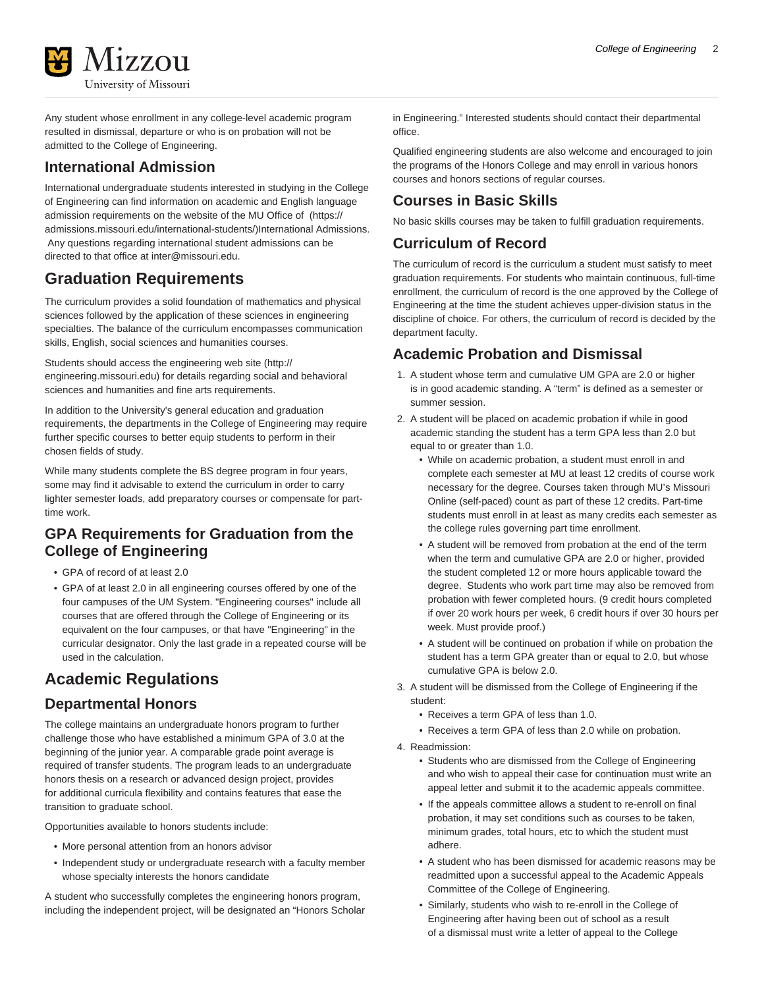

Any student whose enrollment in any college-level academic program resulted in dismissal, departure or who is on probation will not be admitted to the College of Engineering.

#### **International Admission**

International undergraduate students interested in studying in the College of Engineering can find information on academic and English language admission requirements on the website of the [MU Office of](https://admissions.missouri.edu/international-students/) ([https://](https://admissions.missouri.edu/international-students/) [admissions.missouri.edu/international-students/\)](https://admissions.missouri.edu/international-students/)International Admissions. Any questions regarding international student admissions can be directed to that office at [inter@missouri.edu](mailto:inter@missouri.edu).

## <span id="page-1-0"></span>**Graduation Requirements**

The curriculum provides a solid foundation of mathematics and physical sciences followed by the application of these sciences in engineering specialties. The balance of the curriculum encompasses communication skills, English, social sciences and humanities courses.

Students should access the engineering web site [\(http://](http://engineering.missouri.edu) [engineering.missouri.edu](http://engineering.missouri.edu)) for details regarding social and behavioral sciences and humanities and fine arts requirements.

In addition to the University's general education and graduation requirements, the departments in the College of Engineering may require further specific courses to better equip students to perform in their chosen fields of study.

While many students complete the BS degree program in four years, some may find it advisable to extend the curriculum in order to carry lighter semester loads, add preparatory courses or compensate for parttime work.

### **GPA Requirements for Graduation from the College of Engineering**

- GPA of record of at least 2.0
- GPA of at least 2.0 in all engineering courses offered by one of the four campuses of the UM System. "Engineering courses" include all courses that are offered through the College of Engineering or its equivalent on the four campuses, or that have "Engineering" in the curricular designator. Only the last grade in a repeated course will be used in the calculation.

## <span id="page-1-1"></span>**Academic Regulations**

#### **Departmental Honors**

The college maintains an undergraduate honors program to further challenge those who have established a minimum GPA of 3.0 at the beginning of the junior year. A comparable grade point average is required of transfer students. The program leads to an undergraduate honors thesis on a research or advanced design project, provides for additional curricula flexibility and contains features that ease the transition to graduate school.

Opportunities available to honors students include:

- More personal attention from an honors advisor
- Independent study or undergraduate research with a faculty member whose specialty interests the honors candidate

A student who successfully completes the engineering honors program, including the independent project, will be designated an "Honors Scholar in Engineering." Interested students should contact their departmental office.

Qualified engineering students are also welcome and encouraged to join the programs of the Honors College and may enroll in various honors courses and honors sections of regular courses.

#### **Courses in Basic Skills**

No basic skills courses may be taken to fulfill graduation requirements.

#### **Curriculum of Record**

The curriculum of record is the curriculum a student must satisfy to meet graduation requirements. For students who maintain continuous, full-time enrollment, the curriculum of record is the one approved by the College of Engineering at the time the student achieves upper-division status in the discipline of choice. For others, the curriculum of record is decided by the department faculty.

#### **Academic Probation and Dismissal**

- 1. A student whose term and cumulative UM GPA are 2.0 or higher is in good academic standing. A "term" is defined as a semester or summer session.
- 2. A student will be placed on academic probation if while in good academic standing the student has a term GPA less than 2.0 but equal to or greater than 1.0.
	- While on academic probation, a student must enroll in and complete each semester at MU at least 12 credits of course work necessary for the degree. Courses taken through MU's Missouri Online (self-paced) count as part of these 12 credits. Part-time students must enroll in at least as many credits each semester as the college rules governing part time enrollment.
	- A student will be removed from probation at the end of the term when the term and cumulative GPA are 2.0 or higher, provided the student completed 12 or more hours applicable toward the degree. Students who work part time may also be removed from probation with fewer completed hours. (9 credit hours completed if over 20 work hours per week, 6 credit hours if over 30 hours per week. Must provide proof.)
	- A student will be continued on probation if while on probation the student has a term GPA greater than or equal to 2.0, but whose cumulative GPA is below 2.0.
- 3. A student will be dismissed from the College of Engineering if the student:
	- Receives a term GPA of less than 1.0.
	- Receives a term GPA of less than 2.0 while on probation.
- 4. Readmission:
	- Students who are dismissed from the College of Engineering and who wish to appeal their case for continuation must write an appeal letter and submit it to the academic appeals committee.
	- If the appeals committee allows a student to re-enroll on final probation, it may set conditions such as courses to be taken, minimum grades, total hours, etc to which the student must adhere.
	- A student who has been dismissed for academic reasons may be readmitted upon a successful appeal to the Academic Appeals Committee of the College of Engineering.
	- Similarly, students who wish to re-enroll in the College of Engineering after having been out of school as a result of a dismissal must write a letter of appeal to the College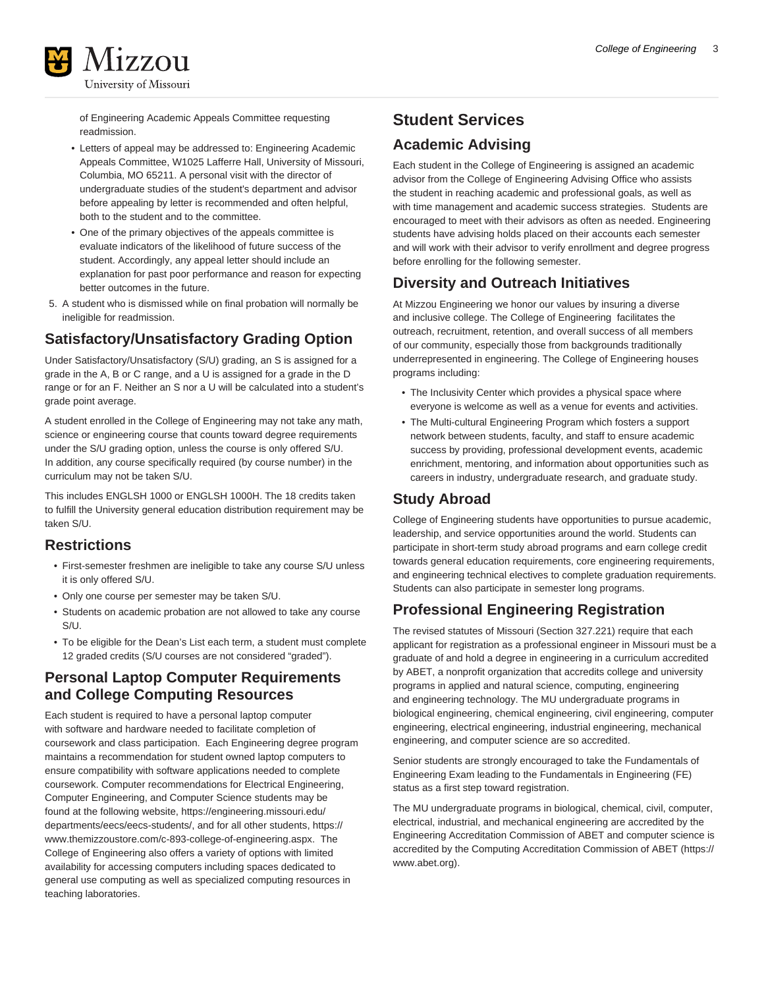

of Engineering Academic Appeals Committee requesting readmission.

- Letters of appeal may be addressed to: Engineering Academic Appeals Committee, W1025 Lafferre Hall, University of Missouri, Columbia, MO 65211. A personal visit with the director of undergraduate studies of the student's department and advisor before appealing by letter is recommended and often helpful, both to the student and to the committee.
- One of the primary objectives of the appeals committee is evaluate indicators of the likelihood of future success of the student. Accordingly, any appeal letter should include an explanation for past poor performance and reason for expecting better outcomes in the future.
- 5. A student who is dismissed while on final probation will normally be ineligible for readmission.

### **Satisfactory/Unsatisfactory Grading Option**

Under Satisfactory/Unsatisfactory (S/U) grading, an S is assigned for a grade in the A, B or C range, and a U is assigned for a grade in the D range or for an F. Neither an S nor a U will be calculated into a student's grade point average.

A student enrolled in the College of Engineering may not take any math, science or engineering course that counts toward degree requirements under the S/U grading option, unless the course is only offered S/U. In addition, any course specifically required (by course number) in the curriculum may not be taken S/U.

This includes ENGLSH 1000 or ENGLSH 1000H. The 18 credits taken to fulfill the University general education distribution requirement may be taken S/U.

#### **Restrictions**

- First-semester freshmen are ineligible to take any course S/U unless it is only offered S/U.
- Only one course per semester may be taken S/U.
- Students on academic probation are not allowed to take any course S/U.
- To be eligible for the Dean's List each term, a student must complete 12 graded credits (S/U courses are not considered "graded").

#### **Personal Laptop Computer Requirements and College Computing Resources**

Each student is required to have a personal laptop computer with software and hardware needed to facilitate completion of coursework and class participation. Each Engineering degree program maintains a recommendation for student owned laptop computers to ensure compatibility with software applications needed to complete coursework. Computer recommendations for Electrical Engineering, Computer Engineering, and Computer Science students may be found at the following website, [https://engineering.missouri.edu/](https://engineering.missouri.edu/departments/eecs/eecs-students/) [departments/eecs/eecs-students/,](https://engineering.missouri.edu/departments/eecs/eecs-students/) and for all other students, [https://](https://www.themizzoustore.com/c-893-college-of-engineering.aspx) [www.themizzoustore.com/c-893-college-of-engineering.aspx](https://www.themizzoustore.com/c-893-college-of-engineering.aspx). The College of Engineering also offers a variety of options with limited availability for accessing computers including spaces dedicated to general use computing as well as specialized computing resources in teaching laboratories.

## <span id="page-2-0"></span>**Student Services Academic Advising**

Each student in the College of Engineering is assigned an academic advisor from the College of Engineering Advising Office who assists the student in reaching academic and professional goals, as well as with time management and academic success strategies. Students are encouraged to meet with their advisors as often as needed. Engineering students have advising holds placed on their accounts each semester and will work with their advisor to verify enrollment and degree progress before enrolling for the following semester.

### **Diversity and Outreach Initiatives**

At Mizzou Engineering we honor our values by insuring a diverse and inclusive college. The College of Engineering facilitates the outreach, recruitment, retention, and overall success of all members of our community, especially those from backgrounds traditionally underrepresented in engineering. The College of Engineering houses programs including:

- The Inclusivity Center which provides a physical space where everyone is welcome as well as a venue for events and activities.
- The Multi-cultural Engineering Program which fosters a support network between students, faculty, and staff to ensure academic success by providing, professional development events, academic enrichment, mentoring, and information about opportunities such as careers in industry, undergraduate research, and graduate study.

#### **Study Abroad**

College of Engineering students have opportunities to pursue academic, leadership, and service opportunities around the world. Students can participate in short-term study abroad programs and earn college credit towards general education requirements, core engineering requirements, and engineering technical electives to complete graduation requirements. Students can also participate in semester long programs.

## **Professional Engineering Registration**

The revised statutes of Missouri (Section 327.221) require that each applicant for registration as a professional engineer in Missouri must be a graduate of and hold a degree in engineering in a curriculum accredited by ABET, a nonprofit organization that accredits college and university programs in applied and natural science, computing, engineering and engineering technology. The MU undergraduate programs in biological engineering, chemical engineering, civil engineering, computer engineering, electrical engineering, industrial engineering, mechanical engineering, and computer science are so accredited.

Senior students are strongly encouraged to take the Fundamentals of Engineering Exam leading to the Fundamentals in Engineering (FE) status as a first step toward registration.

The MU undergraduate programs in biological, chemical, civil, computer, electrical, industrial, and mechanical engineering are accredited by the Engineering Accreditation Commission of ABET and computer science is accredited by the [Computing Accreditation Commission of ABET \(https://](https://www.abet.org) [www.abet.org\)](https://www.abet.org).